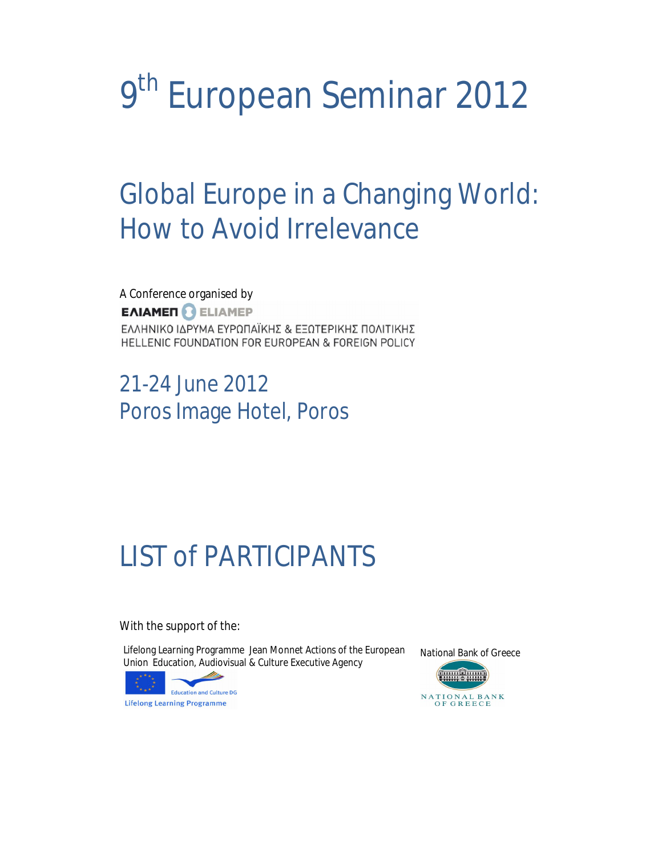# **9th European Seminar 2012**

## **Global Europe in a Changing World: How to Avoid Irrelevance**

A Conference organised by **EAIAMEN CELIAMEP** ΕΛΛΗΝΙΚΟ ΙΔΡΥΜΑ ΕΥΡΩΠΑΪΚΗΣ & ΕΞΩΤΕΡΙΚΗΣ ΠΟΛΙΤΙΚΗΣ HELLENIC FOUNDATION FOR EUROPEAN & FOREIGN POLICY

21-24 June 2012 Poros Image Hotel, Poros

## **LIST of PARTICIPANTS**

With the support of the:

Lifelong Learning Programme Jean Monnet Actions of the European Union Education, Audiovisual & Culture Executive Agency



National Bank of Greece

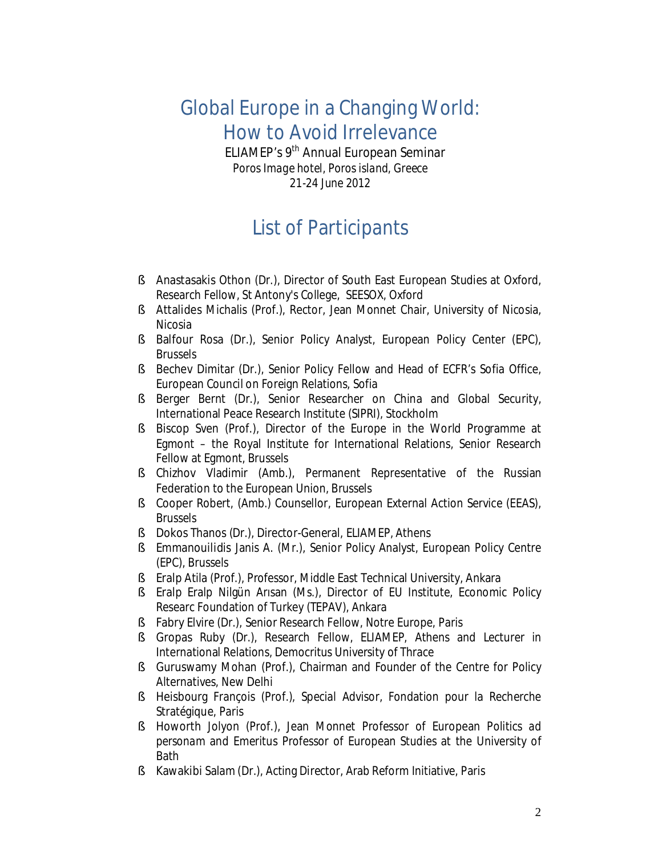### **Global Europe in a Changing World: How to Avoid Irrelevance**

**ELIAMEP's 9th Annual European Seminar** 

*Poros Image hotel, Poros island, Greece 21-24 June 2012* 

#### **List of Participants**

- § **Anastasakis** Othon (Dr.), Director of South East European Studies at Oxford, Research Fellow, St Antony's College, SEESOX, Oxford
- § **Attalides** Michalis (Prof.), Rector, Jean Monnet Chair, University of Nicosia, Nicosia
- § **Balfour** Rosa (Dr.), Senior Policy Analyst, European Policy Center (EPC), Brussels
- § **Bechev** Dimitar (Dr.), Senior Policy Fellow and Head of ECFR's Sofia Office, European Council on Foreign Relations, Sofia
- § **Berger** Bernt (Dr.), Senior Researcher on China and Global Security, International Peace Research Institute (SIPRI), Stockholm
- § **Biscop** Sven (Prof.), Director of the Europe in the World Programme at Egmont – the Royal Institute for International Relations, Senior Research Fellow at Egmont, Brussels
- § **Chizhov** Vladimir (Amb.), Permanent Representative of the Russian Federation to the European Union, Brussels
- § **Cooper** Robert, (Amb.) Counsellor, European External Action Service (EEAS), Brussels
- § **Dokos** Thanos (Dr.), Director-General, ELIAMEP, Athens
- § **Emmanouilidis** Janis A. (Mr.), Senior Policy Analyst, European Policy Centre (EPC), Brussels
- § **Eralp** Atila (Prof.), Professor, Middle East Technical University, Ankara
- § **Eralp** Eralp Nilgün Arısan (Ms.), Director of EU Institute, Economic Policy Researc Foundation of Turkey (TEPAV), Ankara
- § **Fabry** Elvire (Dr.), Senior Research Fellow, Notre Europe, Paris
- § **Gropas** Ruby (Dr.), Research Fellow, ELIAMEP, Athens and Lecturer in International Relations, Democritus University of Thrace
- § **Guruswamy** Mohan (Prof.), Chairman and Founder of the Centre for Policy Alternatives, New Delhi
- § **Heisbourg** François (Prof.), Special Advisor, Fondation pour la Recherche Stratégique, Paris
- § **Howorth** Jolyon (Prof.), Jean Monnet Professor of European Politics *ad personam* and Emeritus Professor of European Studies at the University of Bath
- § **Kawakibi** Salam (Dr.), Acting Director, Arab Reform Initiative, Paris